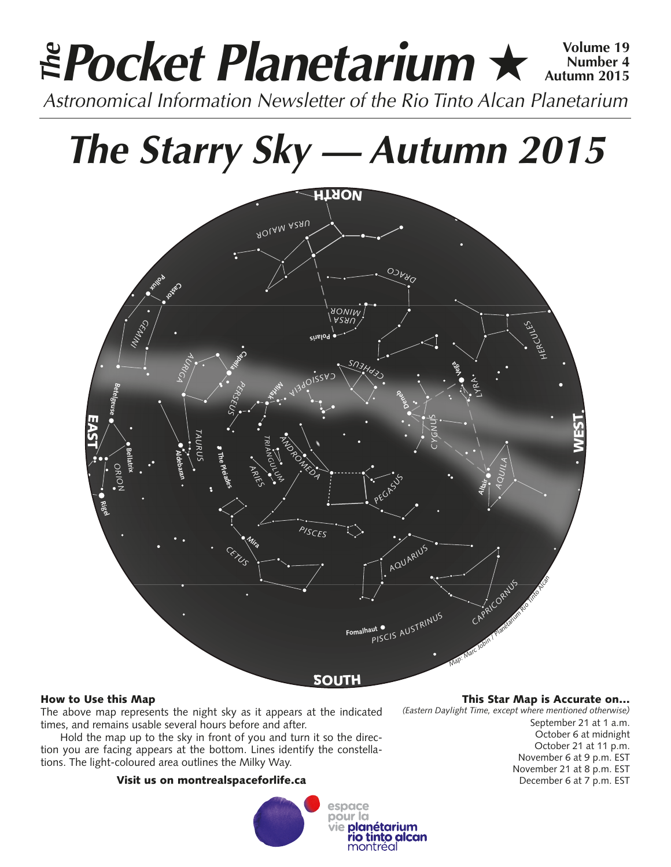## **Pocket Planetarium ★**  $\frac{Volume 19}{Number 4}$ **Number 4 Autumn 2015 Astronomical Information Newsletter of the Rio Tinto Alcan Planetarium**<br>Astronomical Information Newsletter of the Rio Tinto Alcan Planetarium

# *The Starry Sky — Autumn 2015*



### How to Use this Map

The above map represents the night sky as it appears at the indicated times, and remains usable several hours before and after.

Hold the map up to the sky in front of you and turn it so the direction you are facing appears at the bottom. Lines identify the constellations. The light-coloured area outlines the Milky Way.

#### Visit us on montrealspaceforlife.ca



#### This Star Map is Accurate on…

*(Eastern Daylight Time, except where mentioned otherwise)*

September 21 at 1 a.m. October 6 at midnight October 21 at 11 p.m. November 6 at 9 p.m. EST November 21 at 8 p.m. EST December 6 at 7 p.m. EST